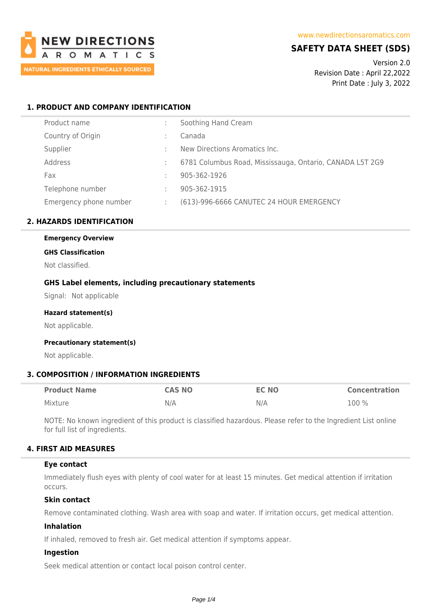

# **SAFETY DATA SHEET (SDS)**

Version 2.0 Revision Date : April 22,2022 Print Date : July 3, 2022

# **1. PRODUCT AND COMPANY IDENTIFICATION**

| Product name           |   | Soothing Hand Cream                                      |
|------------------------|---|----------------------------------------------------------|
| Country of Origin      |   | Canada                                                   |
| Supplier               |   | New Directions Aromatics Inc.                            |
| Address                |   | 6781 Columbus Road, Mississauga, Ontario, CANADA L5T 2G9 |
| Fax                    |   | 905-362-1926                                             |
| Telephone number       | ÷ | 905-362-1915                                             |
| Emergency phone number |   | (613)-996-6666 CANUTEC 24 HOUR EMERGENCY                 |

# **2. HAZARDS IDENTIFICATION**

#### **Emergency Overview**

#### **GHS Classification**

Not classified.

# **GHS Label elements, including precautionary statements**

Signal: Not applicable

#### **Hazard statement(s)**

Not applicable.

#### **Precautionary statement(s)**

Not applicable.

# **3. COMPOSITION / INFORMATION INGREDIENTS**

| <b>Product Name</b> | <b>CAS NO</b> | <b>EC NO</b> | <b>Concentration</b> |
|---------------------|---------------|--------------|----------------------|
| Mixture             | N/A           | N/A          | 100 %                |

NOTE: No known ingredient of this product is classified hazardous. Please refer to the Ingredient List online for full list of ingredients.

# **4. FIRST AID MEASURES**

#### **Eye contact**

Immediately flush eyes with plenty of cool water for at least 15 minutes. Get medical attention if irritation occurs.

#### **Skin contact**

Remove contaminated clothing. Wash area with soap and water. If irritation occurs, get medical attention.

### **Inhalation**

If inhaled, removed to fresh air. Get medical attention if symptoms appear.

# **Ingestion**

Seek medical attention or contact local poison control center.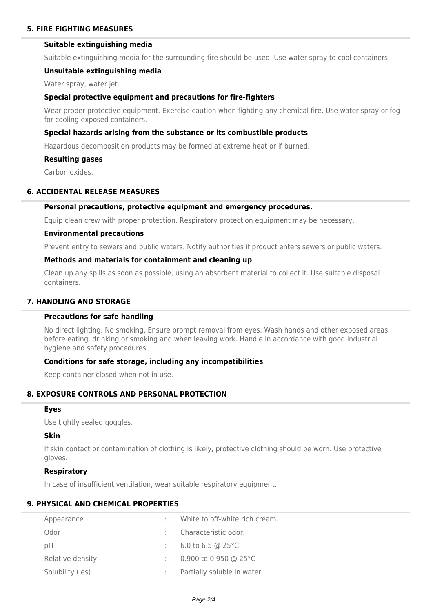# **Suitable extinguishing media**

Suitable extinguishing media for the surrounding fire should be used. Use water spray to cool containers.

#### **Unsuitable extinguishing media**

Water spray, water jet.

### **Special protective equipment and precautions for fire-fighters**

Wear proper protective equipment. Exercise caution when fighting any chemical fire. Use water spray or fog for cooling exposed containers.

### **Special hazards arising from the substance or its combustible products**

Hazardous decomposition products may be formed at extreme heat or if burned.

#### **Resulting gases**

Carbon oxides.

### **6. ACCIDENTAL RELEASE MEASURES**

#### **Personal precautions, protective equipment and emergency procedures.**

Equip clean crew with proper protection. Respiratory protection equipment may be necessary.

#### **Environmental precautions**

Prevent entry to sewers and public waters. Notify authorities if product enters sewers or public waters.

# **Methods and materials for containment and cleaning up**

Clean up any spills as soon as possible, using an absorbent material to collect it. Use suitable disposal containers.

# **7. HANDLING AND STORAGE**

# **Precautions for safe handling**

No direct lighting. No smoking. Ensure prompt removal from eyes. Wash hands and other exposed areas before eating, drinking or smoking and when leaving work. Handle in accordance with good industrial hygiene and safety procedures.

# **Conditions for safe storage, including any incompatibilities**

Keep container closed when not in use.

# **8. EXPOSURE CONTROLS AND PERSONAL PROTECTION**

#### **Eyes**

Use tightly sealed goggles.

### **Skin**

If skin contact or contamination of clothing is likely, protective clothing should be worn. Use protective gloves.

#### **Respiratory**

In case of insufficient ventilation, wear suitable respiratory equipment.

# **9. PHYSICAL AND CHEMICAL PROPERTIES**

| Appearance       | White to off-white rich cream.   |
|------------------|----------------------------------|
| Odor             | Characteristic odor.             |
| рH               | 6.0 to 6.5 @ 25 $^{\circ}$ C     |
| Relative density | 0.900 to 0.950 @ 25 $^{\circ}$ C |
| Solubility (ies) | Partially soluble in water.      |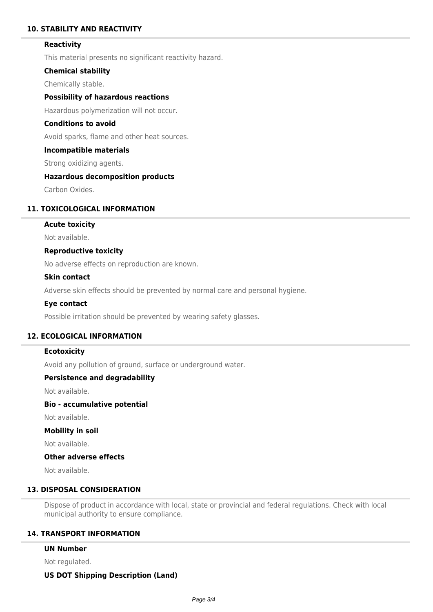# **10. STABILITY AND REACTIVITY**

### **Reactivity**

This material presents no significant reactivity hazard.

### **Chemical stability**

Chemically stable.

# **Possibility of hazardous reactions**

Hazardous polymerization will not occur.

# **Conditions to avoid**

Avoid sparks, flame and other heat sources.

#### **Incompatible materials**

Strong oxidizing agents.

#### **Hazardous decomposition products**

Carbon Oxides.

# **11. TOXICOLOGICAL INFORMATION**

## **Acute toxicity**

Not available.

### **Reproductive toxicity**

No adverse effects on reproduction are known.

#### **Skin contact**

Adverse skin effects should be prevented by normal care and personal hygiene.

#### **Eye contact**

Possible irritation should be prevented by wearing safety glasses.

# **12. ECOLOGICAL INFORMATION**

### **Ecotoxicity**

Avoid any pollution of ground, surface or underground water.

### **Persistence and degradability**

Not available.

# **Bio - accumulative potential**

Not available.

### **Mobility in soil**

Not available.

# **Other adverse effects**

Not available.

# **13. DISPOSAL CONSIDERATION**

Dispose of product in accordance with local, state or provincial and federal regulations. Check with local municipal authority to ensure compliance.

## **14. TRANSPORT INFORMATION**

#### **UN Number**

Not regulated.

#### **US DOT Shipping Description (Land)**